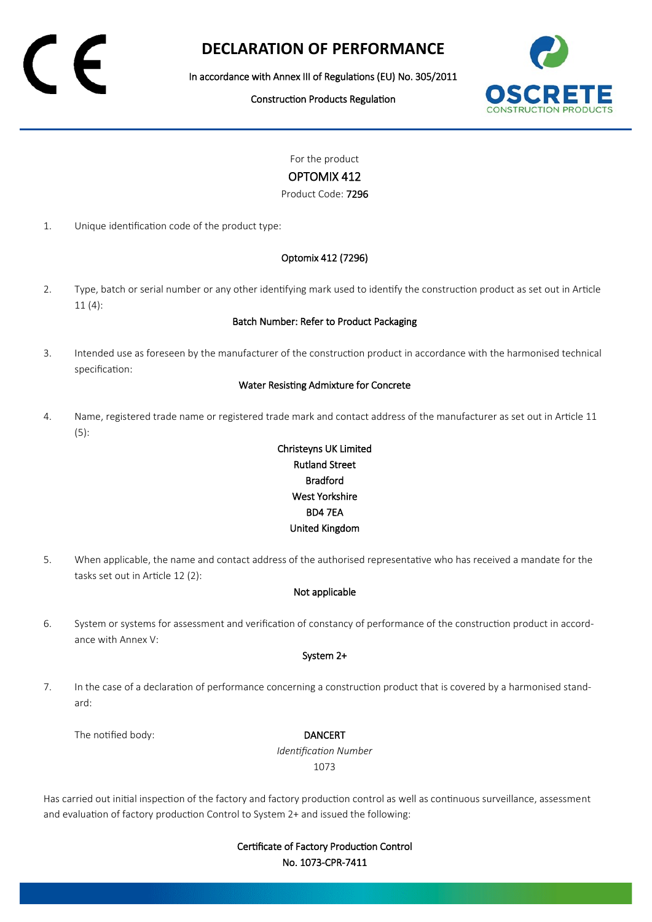# **DECLARATION OF PERFORMANCE**

In accordance with Annex III of Regulations (EU) No. 305/2011

Construction Products Regulation



For the product

# OPTOMIX 412

Product Code: 7296

1. Unique identification code of the product type:

# Optomix 412 (7296)

2. Type, batch or serial number or any other identifying mark used to identify the construction product as set out in Article 11 (4):

### Batch Number: Refer to Product Packaging

3. Intended use as foreseen by the manufacturer of the construction product in accordance with the harmonised technical specification:

#### Water Resisting Admixture for Concrete

4. Name, registered trade name or registered trade mark and contact address of the manufacturer as set out in Article 11 (5):

# Christeyns UK Limited Rutland Street Bradford West Yorkshire BD4 7EA United Kingdom

5. When applicable, the name and contact address of the authorised representative who has received a mandate for the tasks set out in Article 12 (2):

# Not applicable

6. System or systems for assessment and verification of constancy of performance of the construction product in accordance with Annex V:

#### System 2+

7. In the case of a declaration of performance concerning a construction product that is covered by a harmonised standard:

The notified body: **DANCERT** 

*Identification Number* 1073

Has carried out initial inspection of the factory and factory production control as well as continuous surveillance, assessment and evaluation of factory production Control to System 2+ and issued the following:

> Certificate of Factory Production Control No. 1073-CPR-7411